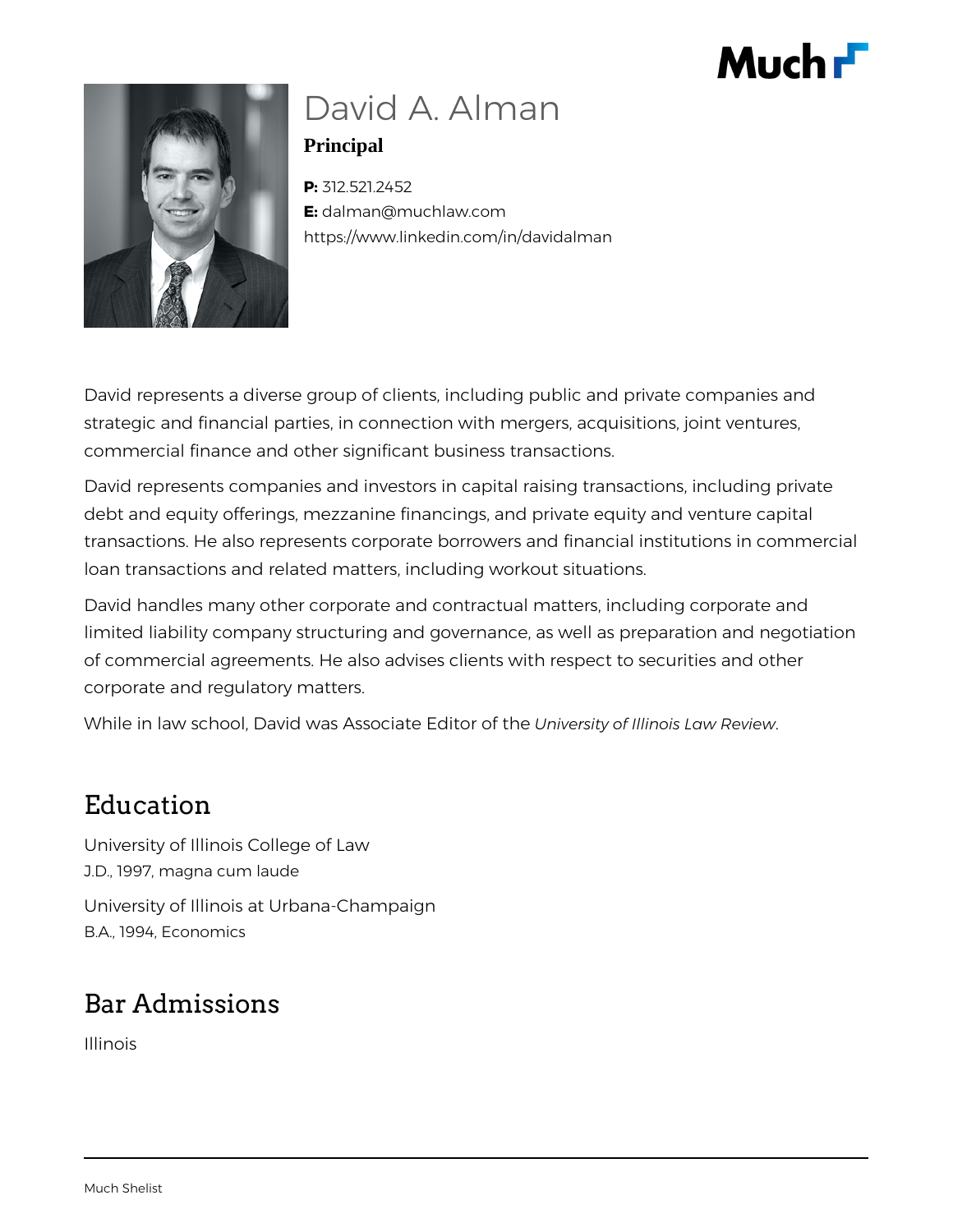



# David A. Alman

**Principal**

**P:** 312.521.2452 **E:** dalman@muchlaw.com https://www.linkedin.com/in/davidalman

David represents a diverse group of clients, including public and private companies and strategic and financial parties, in connection with mergers, acquisitions, joint ventures, commercial finance and other significant business transactions.

David represents companies and investors in capital raising transactions, including private debt and equity offerings, mezzanine financings, and private equity and venture capital transactions. He also represents corporate borrowers and financial institutions in commercial loan transactions and related matters, including workout situations.

David handles many other corporate and contractual matters, including corporate and limited liability company structuring and governance, as well as preparation and negotiation of commercial agreements. He also advises clients with respect to securities and other corporate and regulatory matters.

While in law school, David was Associate Editor of the *University of Illinois Law Review*.

## Education

University of Illinois College of Law J.D., 1997, magna cum laude

University of Illinois at Urbana-Champaign B.A., 1994, Economics

# Bar Admissions

Illinois